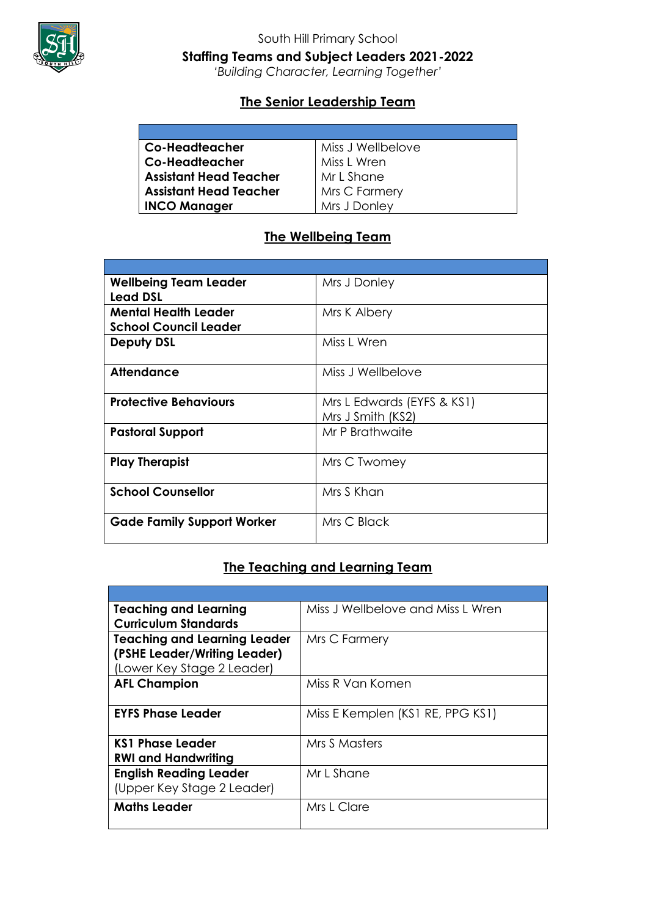

# South Hill Primary School **Staffing Teams and Subject Leaders 2021-2022**

*'Building Character, Learning Together'*

### **The Senior Leadership Team**

| Co-Headteacher                | Miss J Wellbelove |
|-------------------------------|-------------------|
| Co-Headteacher                | Miss L Wren       |
| Assistant Head Teacher        | Mr L Shane        |
| <b>Assistant Head Teacher</b> | Mrs C Farmery     |
| <b>INCO Manager</b>           | Mrs J Donley      |

# **The Wellbeing Team**

| <b>Wellbeing Team Leader</b><br><b>Lead DSL</b> | Mrs J Donley                                    |
|-------------------------------------------------|-------------------------------------------------|
| <b>Mental Health Leader</b>                     | Mrs K Albery                                    |
| <b>School Council Leader</b>                    |                                                 |
| <b>Deputy DSL</b>                               | Miss L Wren                                     |
| <b>Attendance</b>                               | Miss J Wellbelove                               |
| <b>Protective Behaviours</b>                    | Mrs L Edwards (EYFS & KS1)<br>Mrs J Smith (KS2) |
| <b>Pastoral Support</b>                         | Mr P Brathwaite                                 |
| <b>Play Therapist</b>                           | Mrs C Twomey                                    |
| <b>School Counsellor</b>                        | Mrs S Khan                                      |
| <b>Gade Family Support Worker</b>               | Mrs C Black                                     |

### **The Teaching and Learning Team**

| <b>Teaching and Learning</b>        | Miss J Wellbelove and Miss L Wren |
|-------------------------------------|-----------------------------------|
| <b>Curriculum Standards</b>         |                                   |
| <b>Teaching and Learning Leader</b> | Mrs C Farmery                     |
| (PSHE Leader/Writing Leader)        |                                   |
| (Lower Key Stage 2 Leader)          |                                   |
| <b>AFL Champion</b>                 | Miss R Van Komen                  |
|                                     |                                   |
| <b>EYFS Phase Leader</b>            | Miss E Kemplen (KS1 RE, PPG KS1)  |
|                                     |                                   |
| KS1 Phase Leader                    | Mrs S Masters                     |
| <b>RWI and Handwriting</b>          |                                   |
| <b>English Reading Leader</b>       | Mr L Shane                        |
| (Upper Key Stage 2 Leader)          |                                   |
| <b>Maths Leader</b>                 | Mrs L Clare                       |
|                                     |                                   |